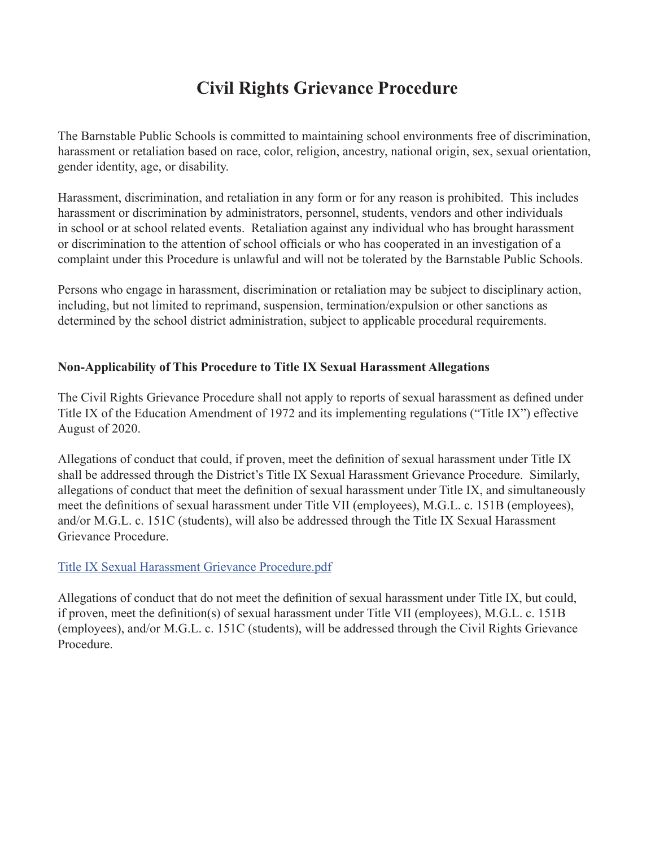# **Civil Rights Grievance Procedure**

The Barnstable Public Schools is committed to maintaining school environments free of discrimination, harassment or retaliation based on race, color, religion, ancestry, national origin, sex, sexual orientation, gender identity, age, or disability.

Harassment, discrimination, and retaliation in any form or for any reason is prohibited. This includes harassment or discrimination by administrators, personnel, students, vendors and other individuals in school or at school related events. Retaliation against any individual who has brought harassment or discrimination to the attention of school officials or who has cooperated in an investigation of a complaint under this Procedure is unlawful and will not be tolerated by the Barnstable Public Schools.

Persons who engage in harassment, discrimination or retaliation may be subject to disciplinary action, including, but not limited to reprimand, suspension, termination/expulsion or other sanctions as determined by the school district administration, subject to applicable procedural requirements.

## **Non-Applicability of This Procedure to Title IX Sexual Harassment Allegations**

The Civil Rights Grievance Procedure shall not apply to reports of sexual harassment as defined under Title IX of the Education Amendment of 1972 and its implementing regulations ("Title IX") effective August of 2020.

Allegations of conduct that could, if proven, meet the definition of sexual harassment under Title IX shall be addressed through the District's Title IX Sexual Harassment Grievance Procedure. Similarly, allegations of conduct that meet the definition of sexual harassment under Title IX, and simultaneously meet the definitions of sexual harassment under Title VII (employees), M.G.L. c. 151B (employees), and/or M.G.L. c. 151C (students), will also be addressed through the Title IX Sexual Harassment Grievance Procedure.

## [Title IX Sexual Harassment Grievance Procedure.pdf](file:/Users/b2btv/Desktop/Barnstable%20Civil%20Rights%20Procedures%20Title%20IX%20Sexual%20Harassment%20Only%208.27.21_22.pdf)

Allegations of conduct that do not meet the definition of sexual harassment under Title IX, but could, if proven, meet the definition(s) of sexual harassment under Title VII (employees), M.G.L. c. 151B (employees), and/or M.G.L. c. 151C (students), will be addressed through the Civil Rights Grievance Procedure.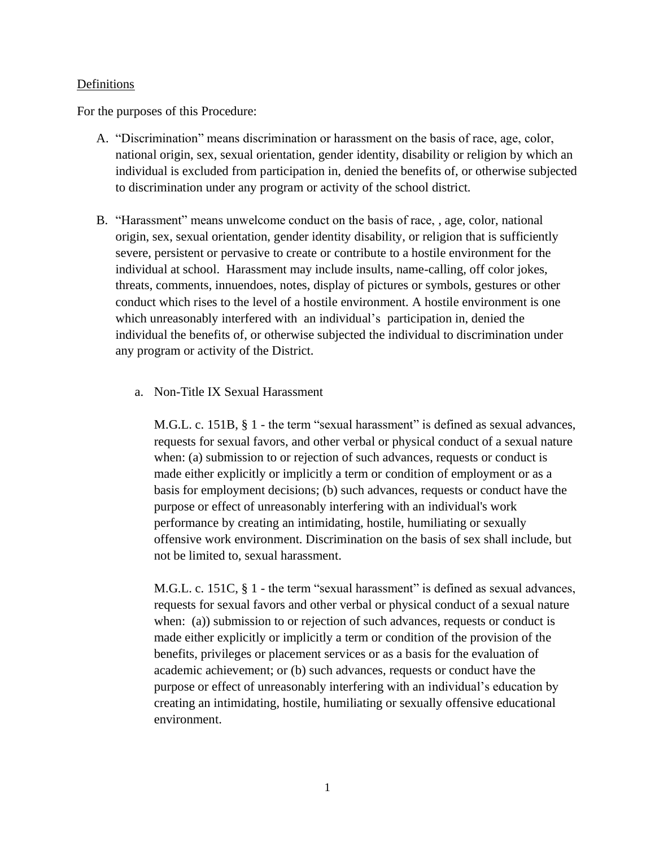#### **Definitions**

For the purposes of this Procedure:

- A. "Discrimination" means discrimination or harassment on the basis of race, age, color, national origin, sex, sexual orientation, gender identity, disability or religion by which an individual is excluded from participation in, denied the benefits of, or otherwise subjected to discrimination under any program or activity of the school district.
- B. "Harassment" means unwelcome conduct on the basis of race, , age, color, national origin, sex, sexual orientation, gender identity disability, or religion that is sufficiently severe, persistent or pervasive to create or contribute to a hostile environment for the individual at school. Harassment may include insults, name-calling, off color jokes, threats, comments, innuendoes, notes, display of pictures or symbols, gestures or other conduct which rises to the level of a hostile environment. A hostile environment is one which unreasonably interfered with an individual's participation in, denied the individual the benefits of, or otherwise subjected the individual to discrimination under any program or activity of the District.
	- a. Non-Title IX Sexual Harassment

M.G.L. c. 151B, § 1 - the term "sexual harassment" is defined as sexual advances, requests for sexual favors, and other verbal or physical conduct of a sexual nature when: (a) submission to or rejection of such advances, requests or conduct is made either explicitly or implicitly a term or condition of employment or as a basis for employment decisions; (b) such advances, requests or conduct have the purpose or effect of unreasonably interfering with an individual's work performance by creating an intimidating, hostile, humiliating or sexually offensive work environment. Discrimination on the basis of sex shall include, but not be limited to, sexual harassment.

M.G.L. c. 151C, § 1 - the term "sexual harassment" is defined as sexual advances, requests for sexual favors and other verbal or physical conduct of a sexual nature when: (a)) submission to or rejection of such advances, requests or conduct is made either explicitly or implicitly a term or condition of the provision of the benefits, privileges or placement services or as a basis for the evaluation of academic achievement; or (b) such advances, requests or conduct have the purpose or effect of unreasonably interfering with an individual's education by creating an intimidating, hostile, humiliating or sexually offensive educational environment.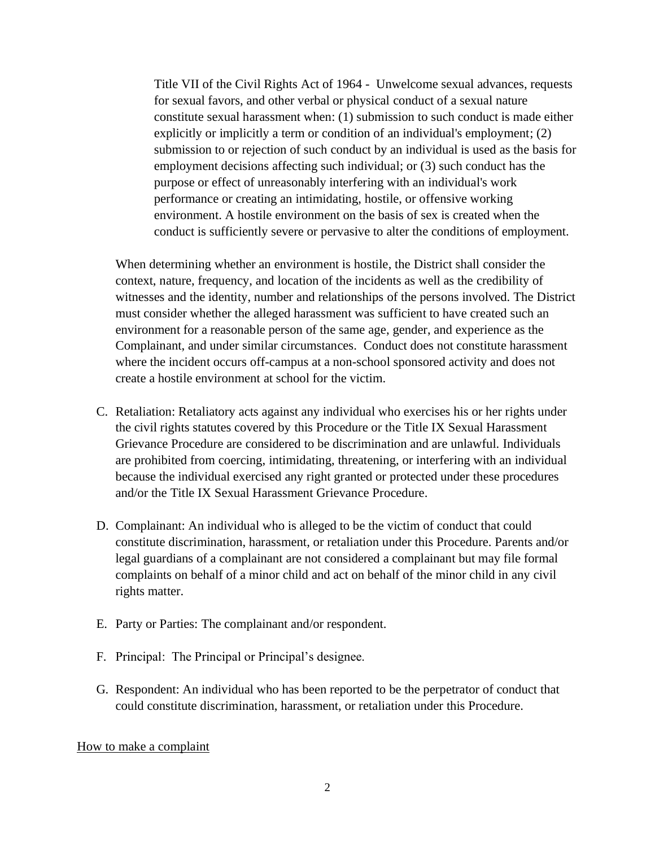Title VII of the Civil Rights Act of 1964 - Unwelcome sexual advances, requests for sexual favors, and other verbal or physical conduct of a sexual nature constitute sexual harassment when: (1) submission to such conduct is made either explicitly or implicitly a term or condition of an individual's employment; (2) submission to or rejection of such conduct by an individual is used as the basis for employment decisions affecting such individual; or (3) such conduct has the purpose or effect of unreasonably interfering with an individual's work performance or creating an intimidating, hostile, or offensive working environment. A hostile environment on the basis of sex is created when the conduct is sufficiently severe or pervasive to alter the conditions of employment.

When determining whether an environment is hostile, the District shall consider the context, nature, frequency, and location of the incidents as well as the credibility of witnesses and the identity, number and relationships of the persons involved. The District must consider whether the alleged harassment was sufficient to have created such an environment for a reasonable person of the same age, gender, and experience as the Complainant, and under similar circumstances. Conduct does not constitute harassment where the incident occurs off-campus at a non-school sponsored activity and does not create a hostile environment at school for the victim.

- C. Retaliation: Retaliatory acts against any individual who exercises his or her rights under the civil rights statutes covered by this Procedure or the Title IX Sexual Harassment Grievance Procedure are considered to be discrimination and are unlawful. Individuals are prohibited from coercing, intimidating, threatening, or interfering with an individual because the individual exercised any right granted or protected under these procedures and/or the Title IX Sexual Harassment Grievance Procedure.
- D. Complainant: An individual who is alleged to be the victim of conduct that could constitute discrimination, harassment, or retaliation under this Procedure. Parents and/or legal guardians of a complainant are not considered a complainant but may file formal complaints on behalf of a minor child and act on behalf of the minor child in any civil rights matter.
- E. Party or Parties: The complainant and/or respondent.
- F. Principal: The Principal or Principal's designee.
- G. Respondent: An individual who has been reported to be the perpetrator of conduct that could constitute discrimination, harassment, or retaliation under this Procedure.

#### How to make a complaint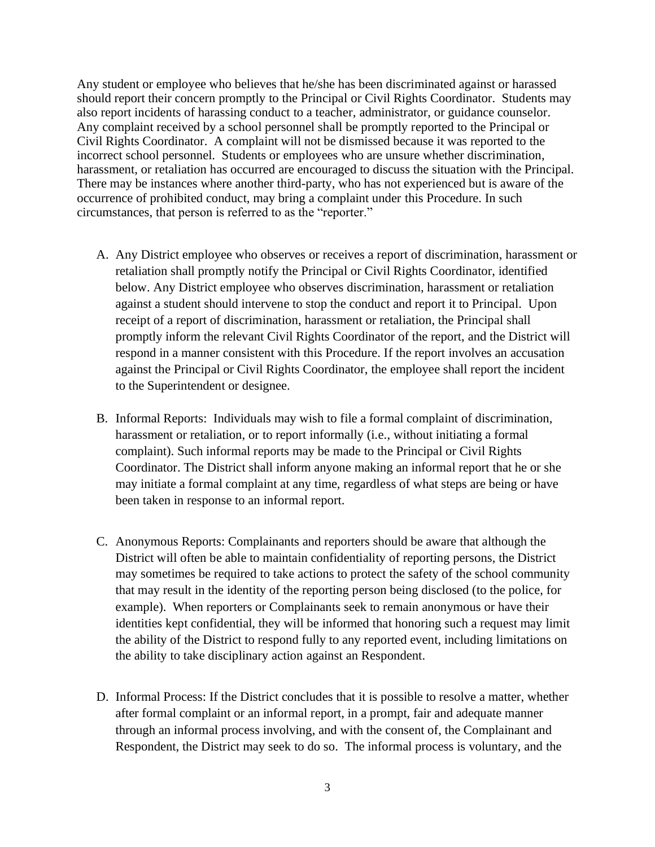Any student or employee who believes that he/she has been discriminated against or harassed should report their concern promptly to the Principal or Civil Rights Coordinator. Students may also report incidents of harassing conduct to a teacher, administrator, or guidance counselor. Any complaint received by a school personnel shall be promptly reported to the Principal or Civil Rights Coordinator. A complaint will not be dismissed because it was reported to the incorrect school personnel. Students or employees who are unsure whether discrimination, harassment, or retaliation has occurred are encouraged to discuss the situation with the Principal. There may be instances where another third-party, who has not experienced but is aware of the occurrence of prohibited conduct, may bring a complaint under this Procedure. In such circumstances, that person is referred to as the "reporter."

- A. Any District employee who observes or receives a report of discrimination, harassment or retaliation shall promptly notify the Principal or Civil Rights Coordinator, identified below. Any District employee who observes discrimination, harassment or retaliation against a student should intervene to stop the conduct and report it to Principal. Upon receipt of a report of discrimination, harassment or retaliation, the Principal shall promptly inform the relevant Civil Rights Coordinator of the report, and the District will respond in a manner consistent with this Procedure. If the report involves an accusation against the Principal or Civil Rights Coordinator, the employee shall report the incident to the Superintendent or designee.
- B. Informal Reports: Individuals may wish to file a formal complaint of discrimination, harassment or retaliation, or to report informally (i.e., without initiating a formal complaint). Such informal reports may be made to the Principal or Civil Rights Coordinator. The District shall inform anyone making an informal report that he or she may initiate a formal complaint at any time, regardless of what steps are being or have been taken in response to an informal report.
- C. Anonymous Reports: Complainants and reporters should be aware that although the District will often be able to maintain confidentiality of reporting persons, the District may sometimes be required to take actions to protect the safety of the school community that may result in the identity of the reporting person being disclosed (to the police, for example). When reporters or Complainants seek to remain anonymous or have their identities kept confidential, they will be informed that honoring such a request may limit the ability of the District to respond fully to any reported event, including limitations on the ability to take disciplinary action against an Respondent.
- D. Informal Process: If the District concludes that it is possible to resolve a matter, whether after formal complaint or an informal report, in a prompt, fair and adequate manner through an informal process involving, and with the consent of, the Complainant and Respondent, the District may seek to do so. The informal process is voluntary, and the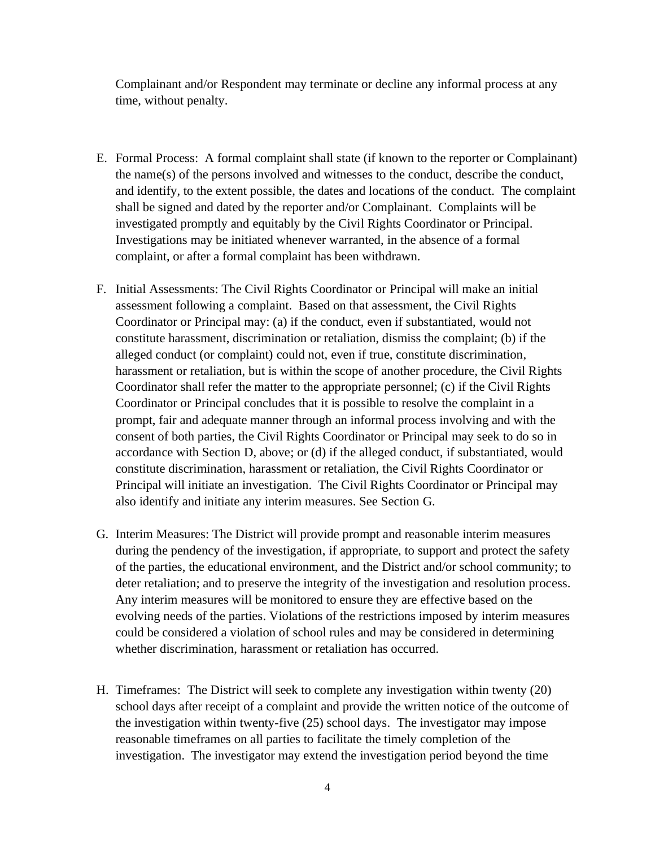Complainant and/or Respondent may terminate or decline any informal process at any time, without penalty.

- E. Formal Process: A formal complaint shall state (if known to the reporter or Complainant) the name(s) of the persons involved and witnesses to the conduct, describe the conduct, and identify, to the extent possible, the dates and locations of the conduct. The complaint shall be signed and dated by the reporter and/or Complainant. Complaints will be investigated promptly and equitably by the Civil Rights Coordinator or Principal. Investigations may be initiated whenever warranted, in the absence of a formal complaint, or after a formal complaint has been withdrawn.
- F. Initial Assessments: The Civil Rights Coordinator or Principal will make an initial assessment following a complaint. Based on that assessment, the Civil Rights Coordinator or Principal may: (a) if the conduct, even if substantiated, would not constitute harassment, discrimination or retaliation, dismiss the complaint; (b) if the alleged conduct (or complaint) could not, even if true, constitute discrimination, harassment or retaliation, but is within the scope of another procedure, the Civil Rights Coordinator shall refer the matter to the appropriate personnel; (c) if the Civil Rights Coordinator or Principal concludes that it is possible to resolve the complaint in a prompt, fair and adequate manner through an informal process involving and with the consent of both parties, the Civil Rights Coordinator or Principal may seek to do so in accordance with Section D, above; or (d) if the alleged conduct, if substantiated, would constitute discrimination, harassment or retaliation, the Civil Rights Coordinator or Principal will initiate an investigation. The Civil Rights Coordinator or Principal may also identify and initiate any interim measures. See Section G.
- G. Interim Measures: The District will provide prompt and reasonable interim measures during the pendency of the investigation, if appropriate, to support and protect the safety of the parties, the educational environment, and the District and/or school community; to deter retaliation; and to preserve the integrity of the investigation and resolution process. Any interim measures will be monitored to ensure they are effective based on the evolving needs of the parties. Violations of the restrictions imposed by interim measures could be considered a violation of school rules and may be considered in determining whether discrimination, harassment or retaliation has occurred.
- H. Timeframes: The District will seek to complete any investigation within twenty (20) school days after receipt of a complaint and provide the written notice of the outcome of the investigation within twenty-five (25) school days. The investigator may impose reasonable timeframes on all parties to facilitate the timely completion of the investigation. The investigator may extend the investigation period beyond the time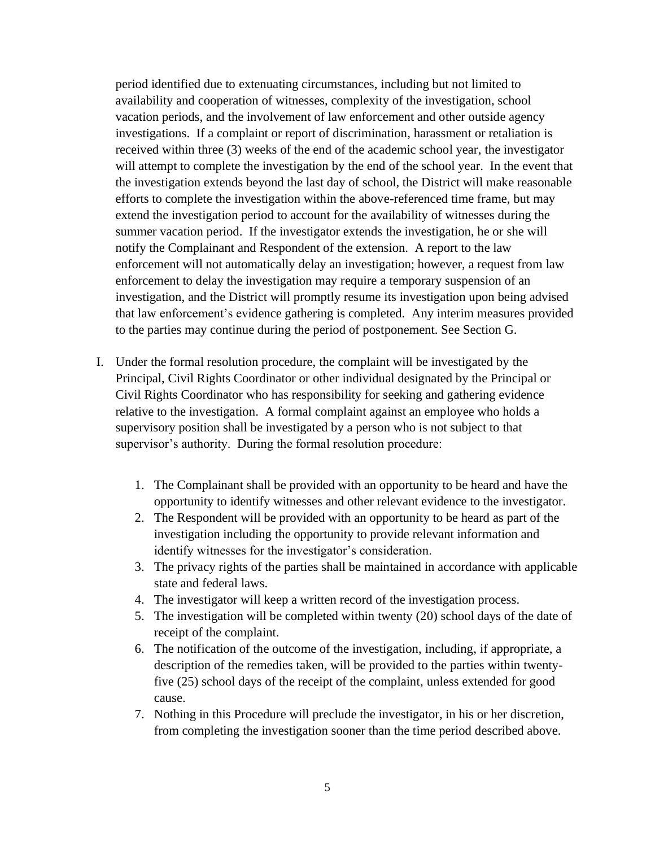period identified due to extenuating circumstances, including but not limited to availability and cooperation of witnesses, complexity of the investigation, school vacation periods, and the involvement of law enforcement and other outside agency investigations. If a complaint or report of discrimination, harassment or retaliation is received within three (3) weeks of the end of the academic school year, the investigator will attempt to complete the investigation by the end of the school year. In the event that the investigation extends beyond the last day of school, the District will make reasonable efforts to complete the investigation within the above-referenced time frame, but may extend the investigation period to account for the availability of witnesses during the summer vacation period. If the investigator extends the investigation, he or she will notify the Complainant and Respondent of the extension. A report to the law enforcement will not automatically delay an investigation; however, a request from law enforcement to delay the investigation may require a temporary suspension of an investigation, and the District will promptly resume its investigation upon being advised that law enforcement's evidence gathering is completed. Any interim measures provided to the parties may continue during the period of postponement. See Section G.

- I. Under the formal resolution procedure, the complaint will be investigated by the Principal, Civil Rights Coordinator or other individual designated by the Principal or Civil Rights Coordinator who has responsibility for seeking and gathering evidence relative to the investigation. A formal complaint against an employee who holds a supervisory position shall be investigated by a person who is not subject to that supervisor's authority. During the formal resolution procedure:
	- 1. The Complainant shall be provided with an opportunity to be heard and have the opportunity to identify witnesses and other relevant evidence to the investigator.
	- 2. The Respondent will be provided with an opportunity to be heard as part of the investigation including the opportunity to provide relevant information and identify witnesses for the investigator's consideration.
	- 3. The privacy rights of the parties shall be maintained in accordance with applicable state and federal laws.
	- 4. The investigator will keep a written record of the investigation process.
	- 5. The investigation will be completed within twenty (20) school days of the date of receipt of the complaint.
	- 6. The notification of the outcome of the investigation, including, if appropriate, a description of the remedies taken, will be provided to the parties within twentyfive (25) school days of the receipt of the complaint, unless extended for good cause.
	- 7. Nothing in this Procedure will preclude the investigator, in his or her discretion, from completing the investigation sooner than the time period described above.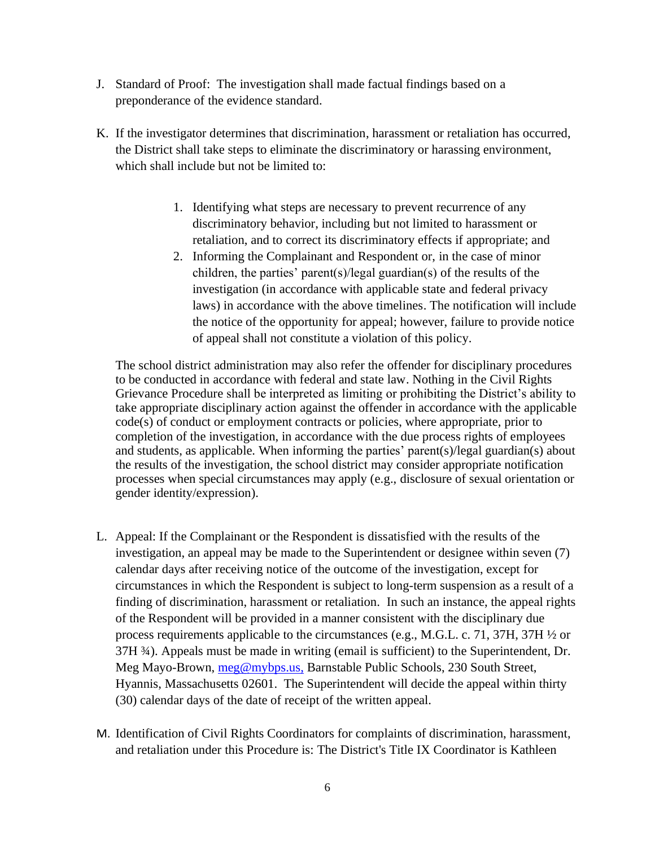- J. Standard of Proof: The investigation shall made factual findings based on a preponderance of the evidence standard.
- K. If the investigator determines that discrimination, harassment or retaliation has occurred, the District shall take steps to eliminate the discriminatory or harassing environment, which shall include but not be limited to:
	- 1. Identifying what steps are necessary to prevent recurrence of any discriminatory behavior, including but not limited to harassment or retaliation, and to correct its discriminatory effects if appropriate; and
	- 2. Informing the Complainant and Respondent or, in the case of minor children, the parties' parent(s)/legal guardian(s) of the results of the investigation (in accordance with applicable state and federal privacy laws) in accordance with the above timelines. The notification will include the notice of the opportunity for appeal; however, failure to provide notice of appeal shall not constitute a violation of this policy.

The school district administration may also refer the offender for disciplinary procedures to be conducted in accordance with federal and state law. Nothing in the Civil Rights Grievance Procedure shall be interpreted as limiting or prohibiting the District's ability to take appropriate disciplinary action against the offender in accordance with the applicable code(s) of conduct or employment contracts or policies, where appropriate, prior to completion of the investigation, in accordance with the due process rights of employees and students, as applicable. When informing the parties' parent(s)/legal guardian(s) about the results of the investigation, the school district may consider appropriate notification processes when special circumstances may apply (e.g., disclosure of sexual orientation or gender identity/expression).

- L. Appeal: If the Complainant or the Respondent is dissatisfied with the results of the investigation, an appeal may be made to the Superintendent or designee within seven (7) calendar days after receiving notice of the outcome of the investigation, except for circumstances in which the Respondent is subject to long-term suspension as a result of a finding of discrimination, harassment or retaliation. In such an instance, the appeal rights of the Respondent will be provided in a manner consistent with the disciplinary due process requirements applicable to the circumstances (e.g., M.G.L. c. 71, 37H, 37H ½ or 37H ¾). Appeals must be made in writing (email is sufficient) to the Superintendent, Dr. Meg Mayo-Brown, [meg@mybps.us,](mailto:meg@mybps.us) Barnstable Public Schools, 230 South Street, Hyannis, Massachusetts 02601. The Superintendent will decide the appeal within thirty (30) calendar days of the date of receipt of the written appeal.
- M. Identification of Civil Rights Coordinators for complaints of discrimination, harassment, and retaliation under this Procedure is: The District's Title IX Coordinator is Kathleen